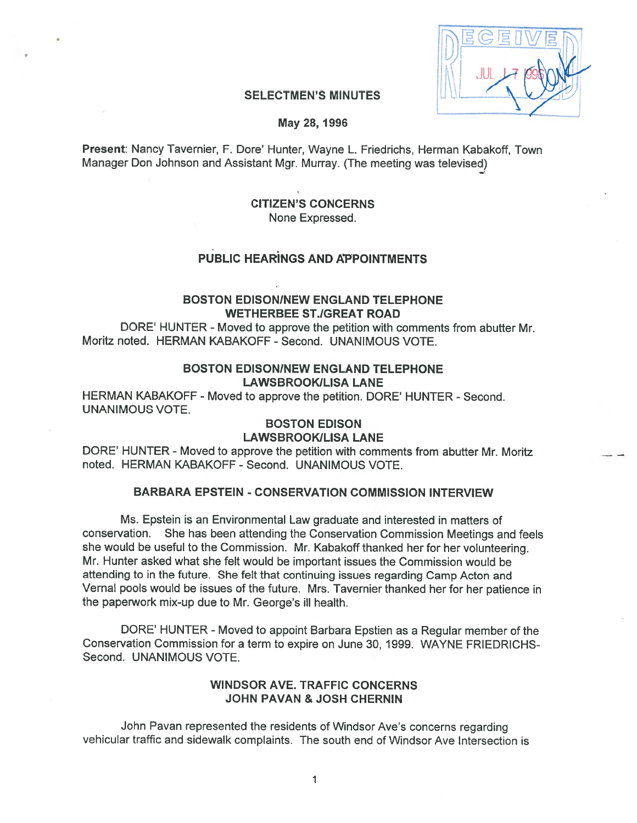| 眉<br>1員. |
|----------|
|          |
| 09       |
|          |

#### **SELECTMEN'S MINUTES**

May 2\$, 1996

Present: Nancy Tavernier, F. Dore' Hunter, Wayne L. Friedrichs, Herman Kabakoff, Town Manager Don Johnson and Assistant Mgr. Murray. (The meeting was televised)

## CITIZEN'S CONCERNS None Expressed.

# PUBLIC HEARINGS AND APPOINTMENTS

## BOSTON EDISON!NEW ENGLAND TELEPHONE WETHERBEE STJGREAT ROAD

DORE' HUNTER - Moved to approve the petition with comments from abutter Mr. Moritz noted. HERMAN KABAKOFF - Second. UNANIMOUS VOTE.

## BOSTON EDISON!NEW ENGLAND TELEPHONE LAWSBROOKILISA LANE

HERMAN KABAKOFF -Moved to approve the petition. DORE' HUNTER - Second. UNANIMOUS VOTE.

# BOSTON EDISON

## LAWSBROOKILISA LANE

DORE' HUNTER - Moved to approve the petition with comments from abutter Mr. Moritz noted. HERMAN KABAKOFF - Second. UNANIMOUS VOTE.

## BARBARA EPSTEIN - CONSERVATION COMMISSION INTERVIEW

Ms. Epstein is an Environmental Law graduate and interested in matters of conservation. She has been attending the Conservation Commission Meetings and feels she would be useful to the Commission. Mr. Kabakoff thanked her for her volunteering. Mr. Hunter asked what she felt would be important issues the Commission would be attending to in the future. She felt that continuing issues regarding Camp Acton and Vernal pools would be issues of the future. Mrs. Tavernier thanked her for her patience in the paperwork mix-up due to Mr. George's ill health.

DORE' HUNTER - Moved to appoint Barbara Epstien as a Regular member of the Conservation Commission for <sup>a</sup> term to expire on June 30, 1999. WAYNE FRIEDRICHS Second. UNANIMOUS VOTE.

## WINDSOR AVE. TRAFFIC CONCERNS JOHN PAVAN & JOSH CHERNIN

John Pavan represented the residents of Windsor Ave's concerns regarding vehicular traffic and sidewalk complaints. The south end of Windsor Ave Intersection is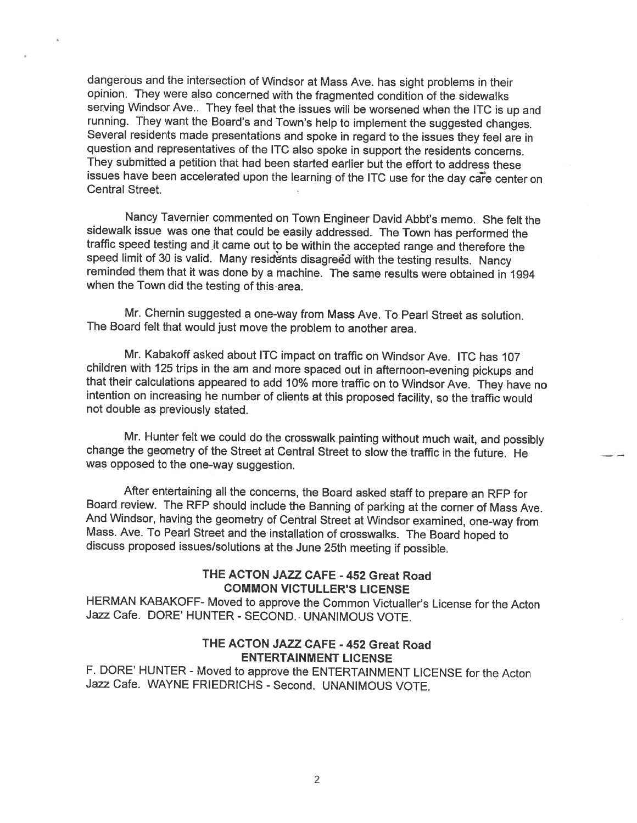dangerous and the intersection of Windsor at Mass Ave. has sight problems in their opinion. They were also concerned with the fragmented condition of the sidewalks<br>serving Windsor Ave.. They feel that the issues will be worsened when the ITC is up and running. They want the Board's and Town's help to implement the suggested changes.<br>Several residents made presentations and spoke in regard to the issues they feel are in question and representatives of the ITC also spoke in support the residents concerns. They submitted <sup>a</sup> petition that had been started earlier but the effort to address these issues have been accelerated upon the learning of the ITC use for the day care center on Central Street.

Nancy Tavernier commented on Town Engineer David Abbt's memo. She felt the sidewalk issue was one that could be easily addressed. The Town has performed the traffic speed testing and it came out to be within the accepted range and therefore the speed limit of 30 is valid. Many residents disagreed with the testing results. Nancy reminded them that it was done by a machine. The same results were obtained in 1994 when the Town did the testing of this area.

Mr. Chernin suggested <sup>a</sup> one-way from Mass Ave. To Pearl Street as solution. The Board felt that would just move the problem to another area.

Mr. Kabakoff asked about ITC impact on traffic on Windsor Ave. ITC has 107 children with 125 trips in the am and more spaced out in afternoon-evening pickups and that their calculations appeared to add 10% more traffic on to Windsor Ave. They have no intention on increasing he number of clients at this proposed facility, so the traffic would not double as previously stated.

Mr. Hunter felt we could do the crosswalk painting without much wait, and possibly change the geometry of the Street at Central Street to slow the traffic in the future. He was opposed to the one-way suggestion.

After entertaining all the concerns, the Board asked staff to prepare an RFP for Board review. The RFP should include the Banning of parking at the corner of Mass Ave. And Windsor, having the geometry of Central Street at Mass. Ave. To Pearl Street and the installation of crosswalks. The Board hoped to discuss proposed issues/solutions at the June 25th meeting if possible.

## THE ACTON JAZZ CAFE - 452 Great Road COMMON VICTULLER'S LICENSE

HERMAN KABAKOFF- Moved to approve the Common Victualler's License for the Acton Jazz Cafe. DORE' HUNTER - SECOND.. UNANIMOUS VOTE.

## THE ACTON JAZZ CAFE - 452 Great Road ENTERTAINMENT LICENSE

F. DORE' HUNTER - Moved to approve the ENTERTAINMENT LICENSE for the Acton Jazz Cafe. WAYNE FRIEDRICHS - Second. UNANIMOUS VOTE.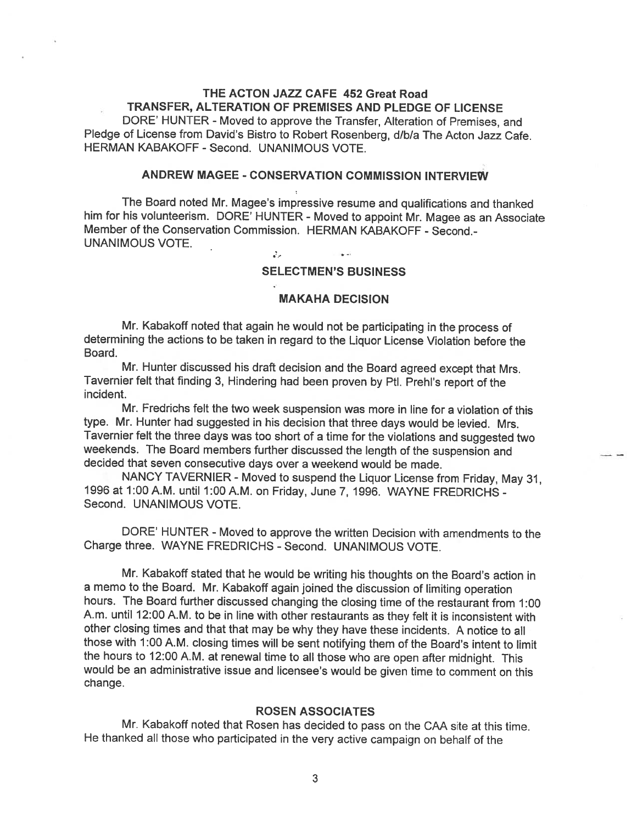# THE ACTON JAZZ CAFE 452 Great Road TRANSFER, ALTERATION OF PREMISES AND PLEDGE OF LICENSE

DORE' HUNTER - Moved to approve the Transfer, Alteration of Premises, and Pledge of License from David's Bistro to Robert Rosenberg, d/b/a The Acton Jazz Cafe. HERMAN KABAKOFF - Second. UNANIMOUS VOTE.

## ANDREW MAGEE -CONSERVATION COMMISSION INTERVIEW

The Board noted Mr. Magee's impressive resume and qualifications and thanked him for his volunteerism. DORE' HUNTER - Moved to appoint Mr. Magee as an Associate Member of the Conservation Commission. HERMAN KABAKOFF - Second.-UNANIMOUS VOTE.

 $\mathcal{F}_{\mathcal{F}}$ 

#### SELECTMEN'S BUSINESS

#### MAKAHA DECISION

Mr. Kabakoff noted that again he would not be participating in the process of determining the actions to be taken in regard to the Liquor License Violation before the Board.

Mr. Hunter discussed his draft decision and the Board agreed except that Mrs. Tavernier felt that finding 3, Hindering had been proven by PtI. Prehi's report of the incident.

Mr. Fredrichs felt the two week suspension was more in line for a violation of this type. Mr. Hunter had suggested in his decision that three days would be levied. Mrs. Tavernier felt the three days was too short of <sup>a</sup> time for the violations and suggested two weekends. The Board members further discussed the length of the suspension and decided that seven consecutive days over <sup>a</sup> weekend would be made.

NANCY TAVERNIER - Moved to suspend the Liquor License from Friday, May 31, 1996 at 1:00A.M. until 1:00A.M. on Friday, June 7, 1996. WAYNE FREDRICHS - Second. UNANIMOUS VOTE.

DORE' HUNTER - Moved to approve the written Decision with amendments to the Charge three. WAYNE FREDRICHS - Second. UNANIMOUS VOTE.

Mr. Kabakoff stated that he would be writing his thoughts on the Board's action in <sup>a</sup> memo to the Board. Mr. Kabakoff again joined the discussion of limiting operation hours. The Board further discussed changing the closing time of the restaurant from 1:00 A.m. until 12:00 A.M. to be in line with other restaurants as they felt it is inconsistent with other closing times and that that may be why they have these incidents. <sup>A</sup> notice to all those with 1:00 A.M. closing times will be sent notifying them of the Board's intent to limit the hours to 12:00 A.M. at renewal time to all those who are open after midnight. This would be an administrative issue and licensee's would be <sup>g</sup>iven time to comment on this change.

#### ROSEN ASSOCIATES

Mr. Kabakoff noted that Rosen has decided to pass on the CAA site at this time. He thanked all those who participated in the very active campaign on behalf of the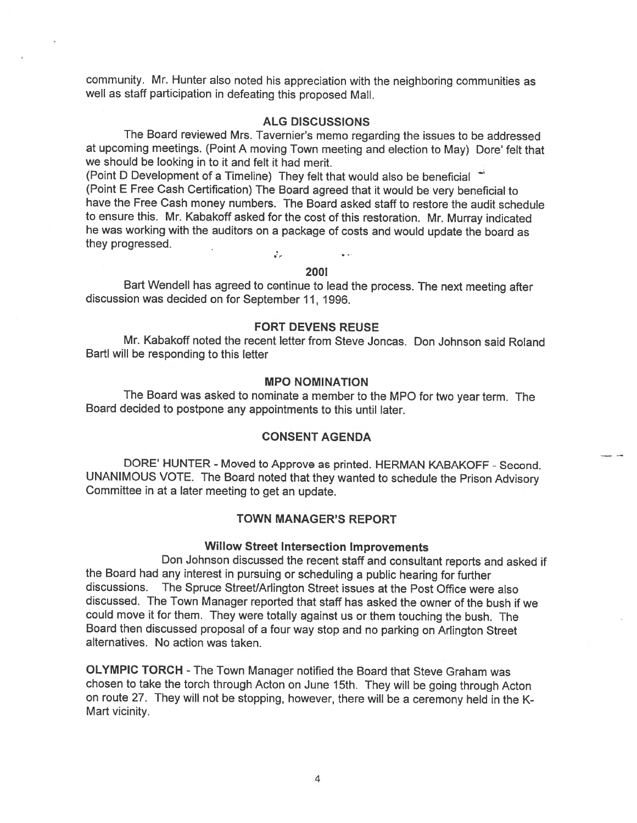community. Mr. Hunter also noted his appreciation with the neighboring communities as well as staff participation in defeating this proposed Mall.

## ALG DISCUSSIONS

The Board reviewed Mrs. Tavernier's memo regarding the issues to be addressed at upcoming meetings. (Point <sup>A</sup> moving Town meeting and election to May) Dore' felt that we should be looking in to it and felt it had merit.

(Point <sup>D</sup> Development of <sup>a</sup> Timeline) They felt that would also be beneficial (Point <sup>E</sup> Free Cash Certification) The Board agreed that it would be very beneficial to have the Free Cash money numbers. The Board asked staff to restore the audit schedule to ensure this. Mr. Kabakoff asked for the cost of this restoration. Mr. Murray indicated he was working with the auditors on <sup>a</sup> package of costs and would update the board as they progressed.  $\mathcal{J}_{\mathcal{F}^{\pm}}$ 

## 2001

Bart Wendell has agreed to continue to lead the process. The next meeting after discussion was decided on for September 11, 1996.

## FORT DEVENS REUSE

Mr. Kabakoff noted the recent letter from Steve Joncas. Don Johnson said Roland Barti will be responding to this letter

#### MPO NOMINATION

The Board was asked to nominate <sup>a</sup> member to the MPO for two year term. The Board decided to postpone any appointments to this until later.

## CONSENT AGENDA

DORE' HUNTER - Moved to Approve as printed. HERMAN KABAKOFF - Second. UNANIMOUS VOTE. The Board noted that they wanted to schedule the Prison Advisory Committee in at <sup>a</sup> later meeting to get an update.

#### TOWN MANAGER'S REPORT

#### Willow Street Intersection Improvements

Don Johnson discussed the recent staff and consultant reports and asked if the Board had any interest in pursuing or scheduling <sup>a</sup> public hearing for further discussions. The Spruce Street/Arlington Street issues at the Post Office were also discussed. The Town Manager reported that staff has asked the owner of the bush if we could move it for them. They were totally against us or them touching the bush. The Board then discussed proposal of <sup>a</sup> four way stop and no parking on Arlington Street alternatives. No action was taken.

OLYMPIC TORCH - The Town Manager notified the Board that Steve Graham was chosen to take the torch through Acton on June 15th. They will be going through Acton on route 27. They will not be stopping, however, there will be <sup>a</sup> ceremony held in the <sup>K</sup> Mart vicinity.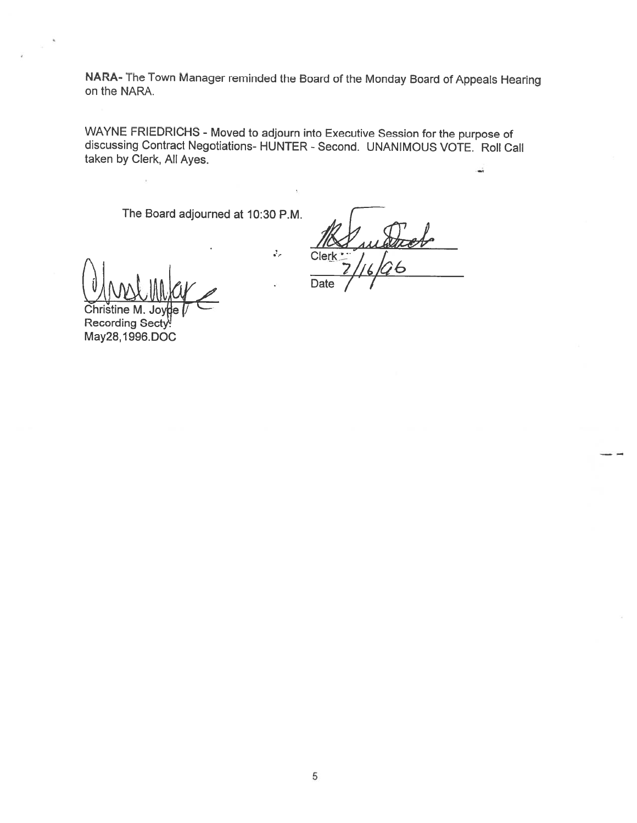NARA- The Town Manager reminded the Board of the Monday Board of Appeals Hearing on the NARA.

WAYNE FRIEDRICHS - Moved to adjourn into Executive Session for the purpose of discussing Contract Negotiations- HUNTER -Second. UNANIMOUS VOTE. Roll Call taken by Clerk, All Ayes.

 $\mathcal{J}_\rho$ 

The Board adjourned at 10:30 P.M.

Christine M. Joy $\sharp$ e  $V$ **Recording Secty!** May28, I 996.DOC

Clerk  $\overline{Date}$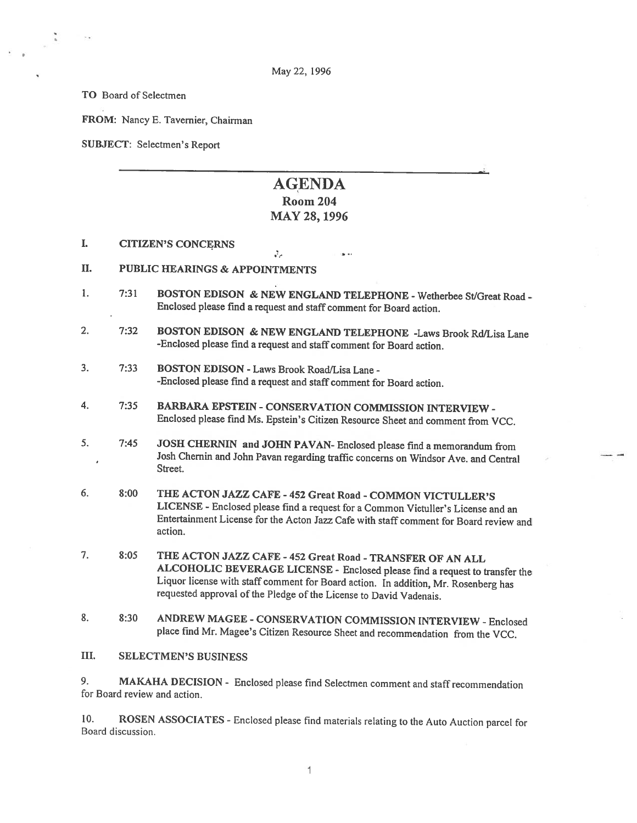TO Board of Selectmen

FROM: Nancy E. Tavernier, Chairman

SUBJECT: Selectmen's Report

# AGENDA Room 204

# MAY 28, 1996

iar ex

- I. CITIZEN'S CONCERNS
- II. PUBLIC HEARINGS & APPOINTMENTS
- 1. 7:31 BOSTON EDISON & NEW ENGLAND TELEPHONE Wetherbee St/Great Road -Enclosed <sup>p</sup>lease find <sup>a</sup> request and staff comment for Board action.

 $\mathcal{L}_{\mathcal{A}}$ 

- 2. 7:32 BOSTON EDISON & NEW ENGLAND TELEPHONE -Laws Brook Rd/Lisa Lane -Enclosed <sup>p</sup>lease find <sup>a</sup> request and staff comment for Board action.
- 3. 7:33 BOSTON EDISON -Laws Brook Road/Lisa Lane -Enclosed <sup>p</sup>lease find <sup>a</sup> request and staff comment for Board action.
- 4. 7:35 BARBARA EPSTEIN -CONSERVATION COMMISSION INTERVIEW Enclosed <sup>p</sup>lease find Ms. Epstein's Citizen Resource Sheet and comment from VCC.
- 5. 7:45 JOSH CHERNIN and JOHN PAVAN- Enclosed <sup>p</sup>lease find <sup>a</sup> memorandum from Josh Chemin and John Pavan regarding traffic concerns on Windsor Ave. and Central  $\overline{1}$ Street.
- 6. 8:00 THE ACTON JAZZ CAFE <sup>452</sup> Great Road -COMMON VICTULLER'S LICENSE -Enclosed <sup>p</sup>lease find <sup>a</sup> request for <sup>a</sup> Common Victuller's License and an Entertainment License for the Acton Jazz Cafe with staff comment for Board review and action.
- 7. 8:05 THE ACTON JAZZ CAFE <sup>452</sup> Great Road -TRANSFER OF AN ALL ALCOHOLIC BEVERAGE LICENSE - Enclosed <sup>p</sup>lease find <sup>a</sup> request to transfer the Liquor license with staff comment for Board action. In addition, Mr. Rosenberg has requested approval of the Pledge of the License to David Vadenais.
- 8. 8:30 ANDREW MAGEE CONSERVATION COMMISSION INTERVIEW Enclosed <sup>p</sup>lace find Mr. Magee's Citizen Resource Sheet and recommendation from the VCC.

III. SELECTMEN'S BUSINESS

9. MAKAHA DECISION - Enclosed <sup>p</sup>lease find Selectmen comment and staff recommendation for Board review and action.

10. ROSEN ASSOCIATES - Enclosed please find materials relating to the Auto Auction parcel for Board discussion.